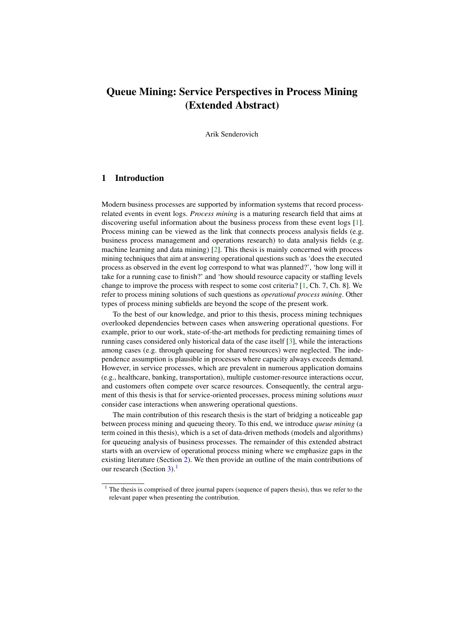# Queue Mining: Service Perspectives in Process Mining (Extended Abstract)

Arik Senderovich

## 1 Introduction

Modern business processes are supported by information systems that record processrelated events in event logs. *Process mining* is a maturing research field that aims at discovering useful information about the business process from these event logs [\[1\]](#page-3-0). Process mining can be viewed as the link that connects process analysis fields (e.g. business process management and operations research) to data analysis fields (e.g. machine learning and data mining)  $[2]$ . This thesis is mainly concerned with process mining techniques that aim at answering operational questions such as 'does the executed process as observed in the event log correspond to what was planned?', 'how long will it take for a running case to finish?' and 'how should resource capacity or staffing levels change to improve the process with respect to some cost criteria?  $[1, Ch. 7, Ch. 8]$  $[1, Ch. 7, Ch. 8]$ . We refer to process mining solutions of such questions as *operational process mining*. Other types of process mining subfields are beyond the scope of the present work.

To the best of our knowledge, and prior to this thesis, process mining techniques overlooked dependencies between cases when answering operational questions. For example, prior to our work, state-of-the-art methods for predicting remaining times of running cases considered only historical data of the case itself [\[3\]](#page-3-2), while the interactions among cases (e.g. through queueing for shared resources) were neglected. The independence assumption is plausible in processes where capacity always exceeds demand. However, in service processes, which are prevalent in numerous application domains (e.g., healthcare, banking, transportation), multiple customer-resource interactions occur, and customers often compete over scarce resources. Consequently, the central argument of this thesis is that for service-oriented processes, process mining solutions *must* consider case interactions when answering operational questions.

The main contribution of this research thesis is the start of bridging a noticeable gap between process mining and queueing theory. To this end, we introduce *queue mining* (a term coined in this thesis), which is a set of data-driven methods (models and algorithms) for queueing analysis of business processes. The remainder of this extended abstract starts with an overview of operational process mining where we emphasize gaps in the existing literature (Section [2\)](#page-1-0). We then provide an outline of the main contributions of our research (Section  $3$ ).<sup>[1](#page-0-0)</sup>

<span id="page-0-0"></span> $1$  The thesis is comprised of three journal papers (sequence of papers thesis), thus we refer to the relevant paper when presenting the contribution.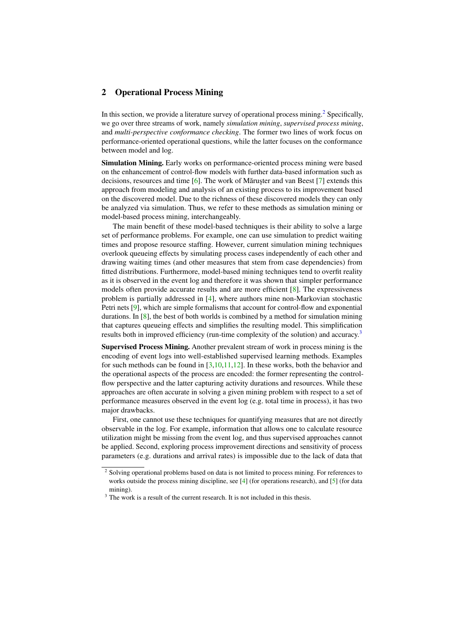## <span id="page-1-0"></span>2 Operational Process Mining

In this section, we provide a literature survey of operational process mining.<sup>[2](#page-1-1)</sup> Specifically, we go over three streams of work, namely *simulation mining*, *supervised process mining*, and *multi-perspective conformance checking*. The former two lines of work focus on performance-oriented operational questions, while the latter focuses on the conformance between model and log.

Simulation Mining. Early works on performance-oriented process mining were based on the enhancement of control-flow models with further data-based information such as decisions, resources and time  $[6]$ . The work of Măruster and van Beest  $[7]$  $[7]$  extends this approach from modeling and analysis of an existing process to its improvement based on the discovered model. Due to the richness of these discovered models they can only be analyzed via simulation. Thus, we refer to these methods as simulation mining or model-based process mining, interchangeably.

The main benefit of these model-based techniques is their ability to solve a large set of performance problems. For example, one can use simulation to predict waiting times and propose resource staffing. However, current simulation mining techniques overlook queueing effects by simulating process cases independently of each other and drawing waiting times (and other measures that stem from case dependencies) from fitted distributions. Furthermore, model-based mining techniques tend to overfit reality as it is observed in the event log and therefore it was shown that simpler performance models often provide accurate results and are more efficient [\[8\]](#page-3-5). The expressiveness problem is partially addressed in [\[4\]](#page-3-6), where authors mine non-Markovian stochastic Petri nets [\[9\]](#page-4-0), which are simple formalisms that account for control-flow and exponential durations. In  $[8]$ , the best of both worlds is combined by a method for simulation mining that captures queueing effects and simplifies the resulting model. This simplification results both in improved efficiency (run-time complexity of the solution) and accuracy.<sup>[3](#page-1-2)</sup>

Supervised Process Mining. Another prevalent stream of work in process mining is the encoding of event logs into well-established supervised learning methods. Examples for such methods can be found in  $\left[3,10,11,12\right]$  $\left[3,10,11,12\right]$  $\left[3,10,11,12\right]$  $\left[3,10,11,12\right]$  $\left[3,10,11,12\right]$ . In these works, both the behavior and the operational aspects of the process are encoded: the former representing the controlflow perspective and the latter capturing activity durations and resources. While these approaches are often accurate in solving a given mining problem with respect to a set of performance measures observed in the event log (e.g. total time in process), it has two major drawbacks.

First, one cannot use these techniques for quantifying measures that are not directly observable in the log. For example, information that allows one to calculate resource utilization might be missing from the event log, and thus supervised approaches cannot be applied. Second, exploring process improvement directions and sensitivity of process parameters (e.g. durations and arrival rates) is impossible due to the lack of data that

<span id="page-1-1"></span><sup>&</sup>lt;sup>2</sup> Solving operational problems based on data is not limited to process mining. For references to works outside the process mining discipline, see [\[4\]](#page-3-6) (for operations research), and [\[5\]](#page-3-7) (for data mining).

<span id="page-1-2"></span><sup>&</sup>lt;sup>3</sup> The work is a result of the current research. It is not included in this thesis.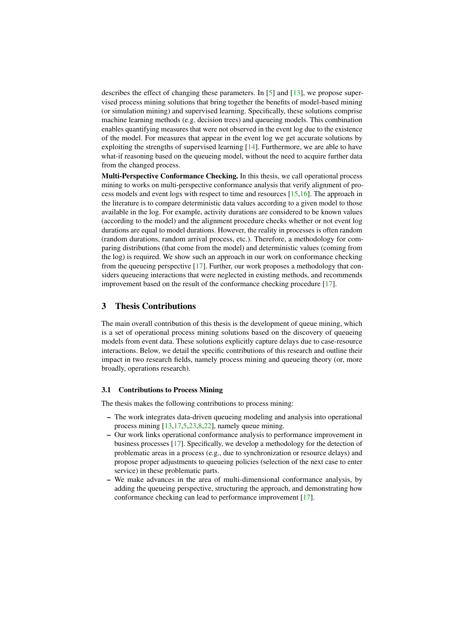describes the effect of changing these parameters. In  $[5]$  and  $[13]$ , we propose supervised process mining solutions that bring together the benefits of model-based mining (or simulation mining) and supervised learning. Specifically, these solutions comprise machine learning methods (e.g. decision trees) and queueing models. This combination enables quantifying measures that were not observed in the event log due to the existence of the model. For measures that appear in the event log we get accurate solutions by exploiting the strengths of supervised learning [\[14\]](#page-4-5). Furthermore, we are able to have what-if reasoning based on the queueing model, without the need to acquire further data from the changed process.

Multi-Perspective Conformance Checking. In this thesis, we call operational process mining to works on multi-perspective conformance analysis that verify alignment of process models and event logs with respect to time and resources  $[15,16]$  $[15,16]$ . The approach in the literature is to compare deterministic data values according to a given model to those available in the log. For example, activity durations are considered to be known values (according to the model) and the alignment procedure checks whether or not event log durations are equal to model durations. However, the reality in processes is often random (random durations, random arrival process, etc.). Therefore, a methodology for comparing distributions (that come from the model) and deterministic values (coming from the log) is required. We show such an approach in our work on conformance checking from the queueing perspective [\[17\]](#page-4-8). Further, our work proposes a methodology that considers queueing interactions that were neglected in existing methods, and recommends improvement based on the result of the conformance checking procedure [\[17\]](#page-4-8).

### <span id="page-2-0"></span>3 Thesis Contributions

The main overall contribution of this thesis is the development of queue mining, which is a set of operational process mining solutions based on the discovery of queueing models from event data. These solutions explicitly capture delays due to case-resource interactions. Below, we detail the specific contributions of this research and outline their impact in two research fields, namely process mining and queueing theory (or, more broadly, operations research).

#### 3.1 Contributions to Process Mining

The thesis makes the following contributions to process mining:

- The work integrates data-driven queueing modeling and analysis into operational process mining [\[13,](#page-4-4)[17,](#page-4-8)[5](#page-3-7)[,23](#page-4-9)[,8](#page-3-5)[,22\]](#page-4-10), namely queue mining.
- Our work links operational conformance analysis to performance improvement in business processes [\[17\]](#page-4-8). Specifically, we develop a methodology for the detection of problematic areas in a process (e.g., due to synchronization or resource delays) and propose proper adjustments to queueing policies (selection of the next case to enter service) in these problematic parts.
- We make advances in the area of multi-dimensional conformance analysis, by adding the queueing perspective, structuring the approach, and demonstrating how conformance checking can lead to performance improvement [\[17\]](#page-4-8).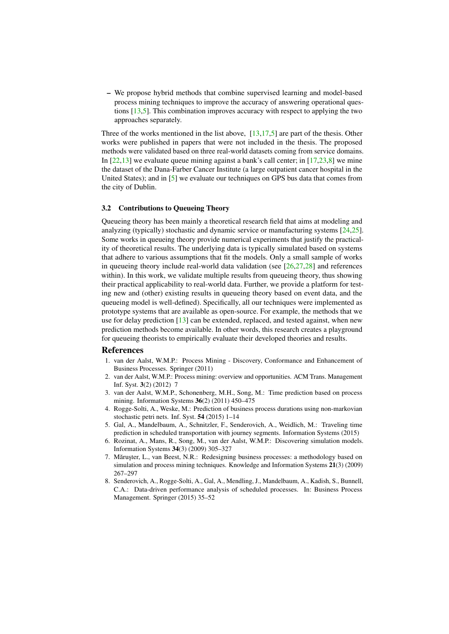– We propose hybrid methods that combine supervised learning and model-based process mining techniques to improve the accuracy of answering operational questions [\[13](#page-4-4)[,5\]](#page-3-7). This combination improves accuracy with respect to applying the two approaches separately.

Three of the works mentioned in the list above, [\[13](#page-4-4)[,17](#page-4-8)[,5\]](#page-3-7) are part of the thesis. Other works were published in papers that were not included in the thesis. The proposed methods were validated based on three real-world datasets coming from service domains. In  $[22,13]$  $[22,13]$  we evaluate queue mining against a bank's call center; in  $[17,23,8]$  $[17,23,8]$  $[17,23,8]$  we mine the dataset of the Dana-Farber Cancer Institute (a large outpatient cancer hospital in the United States); and in [\[5\]](#page-3-7) we evaluate our techniques on GPS bus data that comes from the city of Dublin.

#### 3.2 Contributions to Queueing Theory

Queueing theory has been mainly a theoretical research field that aims at modeling and analyzing (typically) stochastic and dynamic service or manufacturing systems  $[24,25]$  $[24,25]$ . Some works in queueing theory provide numerical experiments that justify the practicality of theoretical results. The underlying data is typically simulated based on systems that adhere to various assumptions that fit the models. Only a small sample of works in queueing theory include real-world data validation (see  $[26,27,28]$  $[26,27,28]$  $[26,27,28]$  and references within). In this work, we validate multiple results from queueing theory, thus showing their practical applicability to real-world data. Further, we provide a platform for testing new and (other) existing results in queueing theory based on event data, and the queueing model is well-defined). Specifically, all our techniques were implemented as prototype systems that are available as open-source. For example, the methods that we use for delay prediction [\[13\]](#page-4-4) can be extended, replaced, and tested against, when new prediction methods become available. In other words, this research creates a playground for queueing theorists to empirically evaluate their developed theories and results.

#### References

- <span id="page-3-0"></span>1. van der Aalst, W.M.P.: Process Mining - Discovery, Conformance and Enhancement of Business Processes. Springer (2011)
- <span id="page-3-1"></span>2. van der Aalst, W.M.P.: Process mining: overview and opportunities. ACM Trans. Management Inf. Syst. 3(2) (2012) 7
- <span id="page-3-2"></span>3. van der Aalst, W.M.P., Schonenberg, M.H., Song, M.: Time prediction based on process mining. Information Systems  $36(2)$  (2011) 450–475
- <span id="page-3-6"></span>4. Rogge-Solti, A., Weske, M.: Prediction of business process durations using non-markovian stochastic petri nets. Inf. Syst. 54 (2015) 1–14
- <span id="page-3-7"></span>5. Gal, A., Mandelbaum, A., Schnitzler, F., Senderovich, A., Weidlich, M.: Traveling time prediction in scheduled transportation with journey segments. Information Systems (2015)
- <span id="page-3-3"></span>6. Rozinat, A., Mans, R., Song, M., van der Aalst, W.M.P.: Discovering simulation models. Information Systems 34(3) (2009) 305–327
- <span id="page-3-4"></span>7. Mărușter, L., van Beest, N.R.: Redesigning business processes: a methodology based on simulation and process mining techniques. Knowledge and Information Systems 21(3) (2009) 267–297
- <span id="page-3-5"></span>8. Senderovich, A., Rogge-Solti, A., Gal, A., Mendling, J., Mandelbaum, A., Kadish, S., Bunnell, C.A.: Data-driven performance analysis of scheduled processes. In: Business Process Management. Springer (2015) 35–52